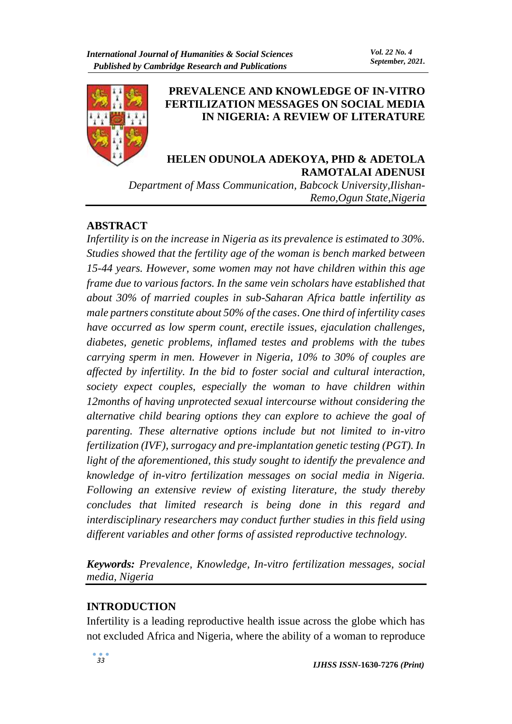

## **PREVALENCE AND KNOWLEDGE OF IN-VITRO FERTILIZATION MESSAGES ON SOCIAL MEDIA IN NIGERIA: A REVIEW OF LITERATURE**

# **HELEN ODUNOLA ADEKOYA, PHD & ADETOLA RAMOTALAI ADENUSI**

*Department of Mass Communication, Babcock University,Ilishan-Remo,Ogun State,Nigeria*

# **ABSTRACT**

*Infertility is on the increase in Nigeria as its prevalence is estimated to 30%. Studies showed that the fertility age of the woman is bench marked between 15-44 years. However, some women may not have children within this age frame due to various factors. In the same vein scholars have established that about 30% of married couples in sub-Saharan Africa battle infertility as male partners constitute about 50% of the cases*. *One third of infertility cases have occurred as low sperm count, erectile issues, ejaculation challenges, diabetes, genetic problems, inflamed testes and problems with the tubes carrying sperm in men. However in Nigeria, 10% to 30% of couples are affected by infertility. In the bid to foster social and cultural interaction, society expect couples, especially the woman to have children within 12months of having unprotected sexual intercourse without considering the alternative child bearing options they can explore to achieve the goal of parenting. These alternative options include but not limited to in-vitro fertilization (IVF), surrogacy and pre-implantation genetic testing (PGT). In light of the aforementioned, this study sought to identify the prevalence and knowledge of in-vitro fertilization messages on social media in Nigeria. Following an extensive review of existing literature, the study thereby concludes that limited research is being done in this regard and interdisciplinary researchers may conduct further studies in this field using different variables and other forms of assisted reproductive technology.*

*Keywords: Prevalence, Knowledge, In-vitro fertilization messages, social media, Nigeria*

# **INTRODUCTION**

Infertility is a leading reproductive health issue across the globe which has not excluded Africa and Nigeria, where the ability of a woman to reproduce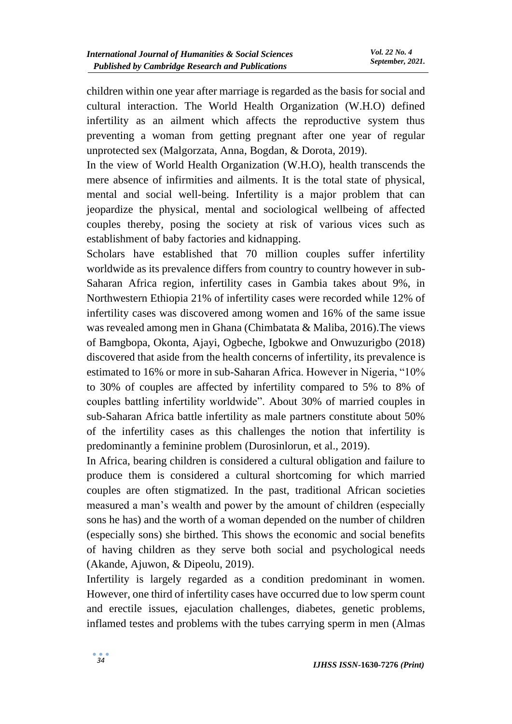children within one year after marriage is regarded as the basis for social and cultural interaction. The World Health Organization (W.H.O) defined infertility as an ailment which affects the reproductive system thus preventing a woman from getting pregnant after one year of regular unprotected sex (Malgorzata, Anna, Bogdan, & Dorota, 2019).

In the view of World Health Organization (W.H.O), health transcends the mere absence of infirmities and ailments. It is the total state of physical, mental and social well-being. Infertility is a major problem that can jeopardize the physical, mental and sociological wellbeing of affected couples thereby, posing the society at risk of various vices such as establishment of baby factories and kidnapping.

Scholars have established that 70 million couples suffer infertility worldwide as its prevalence differs from country to country however in sub-Saharan Africa region, infertility cases in Gambia takes about 9%, in Northwestern Ethiopia 21% of infertility cases were recorded while 12% of infertility cases was discovered among women and 16% of the same issue was revealed among men in Ghana (Chimbatata & Maliba, 2016).The views of Bamgbopa, Okonta, Ajayi, Ogbeche, Igbokwe and Onwuzurigbo (2018) discovered that aside from the health concerns of infertility, its prevalence is estimated to 16% or more in sub-Saharan Africa. However in Nigeria, "10% to 30% of couples are affected by infertility compared to 5% to 8% of couples battling infertility worldwide". About 30% of married couples in sub-Saharan Africa battle infertility as male partners constitute about 50% of the infertility cases as this challenges the notion that infertility is predominantly a feminine problem (Durosinlorun, et al., 2019).

In Africa, bearing children is considered a cultural obligation and failure to produce them is considered a cultural shortcoming for which married couples are often stigmatized. In the past, traditional African societies measured a man's wealth and power by the amount of children (especially sons he has) and the worth of a woman depended on the number of children (especially sons) she birthed. This shows the economic and social benefits of having children as they serve both social and psychological needs (Akande, Ajuwon, & Dipeolu, 2019).

Infertility is largely regarded as a condition predominant in women. However, one third of infertility cases have occurred due to low sperm count and erectile issues, ejaculation challenges, diabetes, genetic problems, inflamed testes and problems with the tubes carrying sperm in men (Almas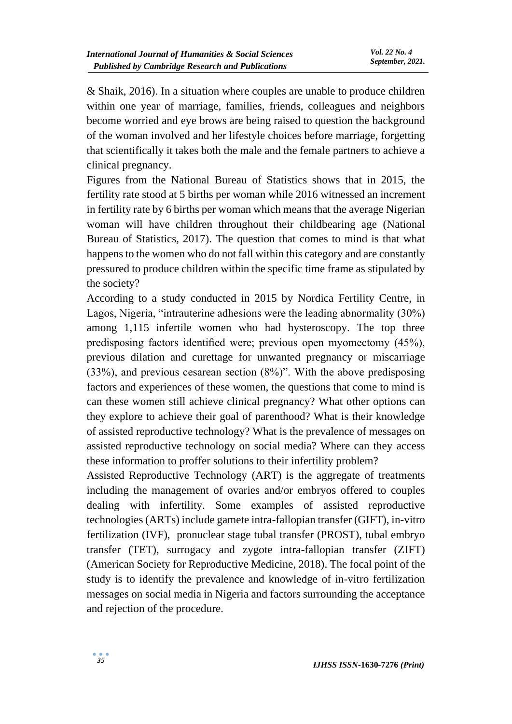& Shaik, 2016). In a situation where couples are unable to produce children within one year of marriage, families, friends, colleagues and neighbors become worried and eye brows are being raised to question the background of the woman involved and her lifestyle choices before marriage, forgetting that scientifically it takes both the male and the female partners to achieve a clinical pregnancy.

Figures from the National Bureau of Statistics shows that in 2015, the fertility rate stood at 5 births per woman while 2016 witnessed an increment in fertility rate by 6 births per woman which means that the average Nigerian woman will have children throughout their childbearing age (National Bureau of Statistics, 2017). The question that comes to mind is that what happens to the women who do not fall within this category and are constantly pressured to produce children within the specific time frame as stipulated by the society?

According to a study conducted in 2015 by Nordica Fertility Centre, in Lagos, Nigeria, "intrauterine adhesions were the leading abnormality (30%) among 1,115 infertile women who had hysteroscopy. The top three predisposing factors identified were; previous open myomectomy (45%), previous dilation and curettage for unwanted pregnancy or miscarriage (33%), and previous cesarean section (8%)". With the above predisposing factors and experiences of these women, the questions that come to mind is can these women still achieve clinical pregnancy? What other options can they explore to achieve their goal of parenthood? What is their knowledge of assisted reproductive technology? What is the prevalence of messages on assisted reproductive technology on social media? Where can they access these information to proffer solutions to their infertility problem?

Assisted Reproductive Technology (ART) is the aggregate of treatments including the management of ovaries and/or embryos offered to couples dealing with infertility. Some examples of assisted reproductive technologies (ARTs) include gamete intra-fallopian transfer (GIFT), in-vitro fertilization (IVF), pronuclear stage tubal transfer (PROST), tubal embryo transfer (TET), surrogacy and zygote intra-fallopian transfer (ZIFT) (American Society for Reproductive Medicine, 2018). The focal point of the study is to identify the prevalence and knowledge of in-vitro fertilization messages on social media in Nigeria and factors surrounding the acceptance and rejection of the procedure.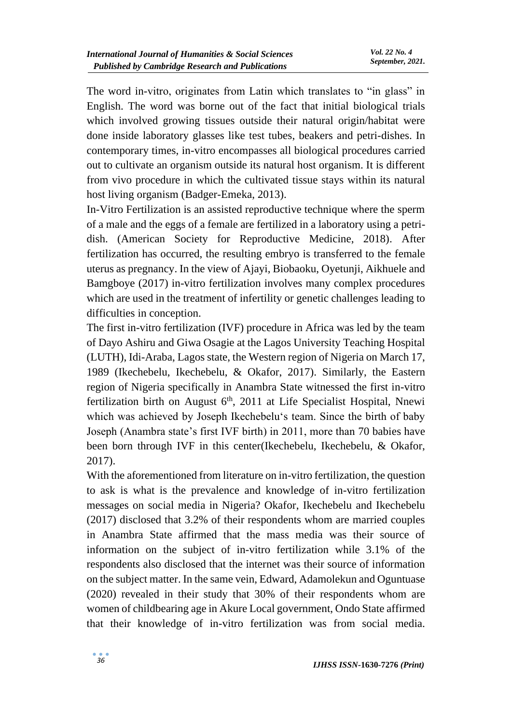The word in-vitro, originates from Latin which translates to "in glass" in English. The word was borne out of the fact that initial biological trials which involved growing tissues outside their natural origin/habitat were done inside laboratory glasses like test tubes, beakers and petri-dishes. In contemporary times, in-vitro encompasses all biological procedures carried out to cultivate an organism outside its natural host organism. It is different from vivo procedure in which the cultivated tissue stays within its natural host living organism (Badger-Emeka, 2013).

In-Vitro Fertilization is an assisted reproductive technique where the sperm of a male and the eggs of a female are fertilized in a laboratory using a petridish. (American Society for Reproductive Medicine, 2018). After fertilization has occurred, the resulting embryo is transferred to the female uterus as pregnancy. In the view of Ajayi, Biobaoku, Oyetunji, Aikhuele and Bamgboye (2017) in-vitro fertilization involves many complex procedures which are used in the treatment of infertility or genetic challenges leading to difficulties in conception.

The first in-vitro fertilization (IVF) procedure in Africa was led by the team of Dayo Ashiru and Giwa Osagie at the Lagos University Teaching Hospital (LUTH), Idi-Araba, Lagos state, the Western region of Nigeria on March 17, 1989 (Ikechebelu, Ikechebelu, & Okafor, 2017). Similarly, the Eastern region of Nigeria specifically in Anambra State witnessed the first in-vitro fertilization birth on August  $6<sup>th</sup>$ , 2011 at Life Specialist Hospital, Nnewi which was achieved by Joseph Ikechebelu's team. Since the birth of baby Joseph (Anambra state's first IVF birth) in 2011, more than 70 babies have been born through IVF in this center(Ikechebelu, Ikechebelu, & Okafor, 2017).

With the aforementioned from literature on in-vitro fertilization, the question to ask is what is the prevalence and knowledge of in-vitro fertilization messages on social media in Nigeria? Okafor, Ikechebelu and Ikechebelu (2017) disclosed that 3.2% of their respondents whom are married couples in Anambra State affirmed that the mass media was their source of information on the subject of in-vitro fertilization while 3.1% of the respondents also disclosed that the internet was their source of information on the subject matter. In the same vein, Edward, Adamolekun and Oguntuase (2020) revealed in their study that 30% of their respondents whom are women of childbearing age in Akure Local government, Ondo State affirmed that their knowledge of in-vitro fertilization was from social media.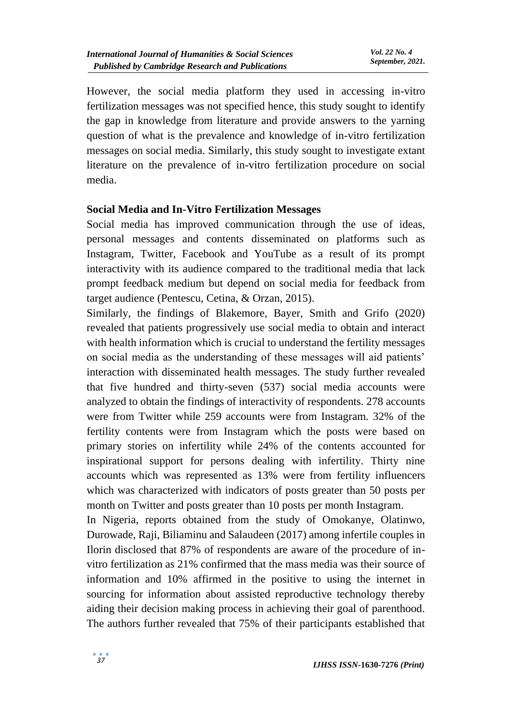However, the social media platform they used in accessing in-vitro fertilization messages was not specified hence, this study sought to identify the gap in knowledge from literature and provide answers to the yarning question of what is the prevalence and knowledge of in-vitro fertilization messages on social media. Similarly, this study sought to investigate extant literature on the prevalence of in-vitro fertilization procedure on social media.

#### **Social Media and In-Vitro Fertilization Messages**

Social media has improved communication through the use of ideas, personal messages and contents disseminated on platforms such as Instagram, Twitter, Facebook and YouTube as a result of its prompt interactivity with its audience compared to the traditional media that lack prompt feedback medium but depend on social media for feedback from target audience (Pentescu, Cetina, & Orzan, 2015).

Similarly, the findings of Blakemore, Bayer, Smith and Grifo (2020) revealed that patients progressively use social media to obtain and interact with health information which is crucial to understand the fertility messages on social media as the understanding of these messages will aid patients' interaction with disseminated health messages. The study further revealed that five hundred and thirty-seven (537) social media accounts were analyzed to obtain the findings of interactivity of respondents. 278 accounts were from Twitter while 259 accounts were from Instagram. 32% of the fertility contents were from Instagram which the posts were based on primary stories on infertility while 24% of the contents accounted for inspirational support for persons dealing with infertility. Thirty nine accounts which was represented as 13% were from fertility influencers which was characterized with indicators of posts greater than 50 posts per month on Twitter and posts greater than 10 posts per month Instagram.

In Nigeria, reports obtained from the study of Omokanye, Olatinwo, Durowade, Raji, Biliaminu and Salaudeen (2017) among infertile couples in Ilorin disclosed that 87% of respondents are aware of the procedure of invitro fertilization as 21% confirmed that the mass media was their source of information and 10% affirmed in the positive to using the internet in sourcing for information about assisted reproductive technology thereby aiding their decision making process in achieving their goal of parenthood. The authors further revealed that 75% of their participants established that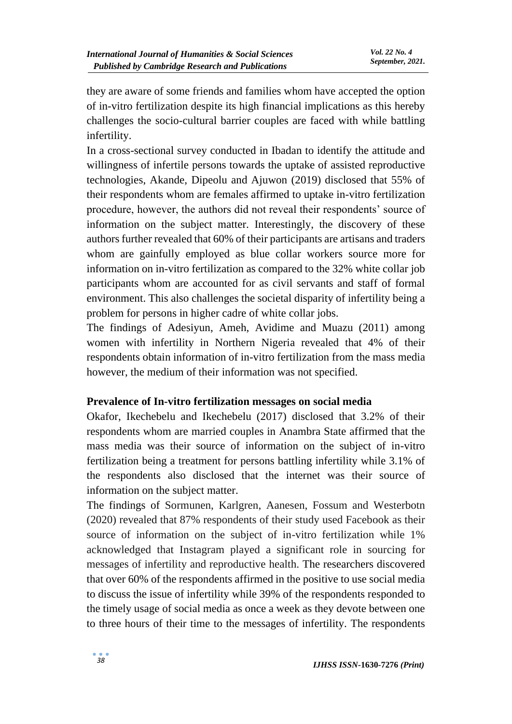they are aware of some friends and families whom have accepted the option of in-vitro fertilization despite its high financial implications as this hereby challenges the socio-cultural barrier couples are faced with while battling infertility.

In a cross-sectional survey conducted in Ibadan to identify the attitude and willingness of infertile persons towards the uptake of assisted reproductive technologies, Akande, Dipeolu and Ajuwon (2019) disclosed that 55% of their respondents whom are females affirmed to uptake in-vitro fertilization procedure, however, the authors did not reveal their respondents' source of information on the subject matter. Interestingly, the discovery of these authors further revealed that 60% of their participants are artisans and traders whom are gainfully employed as blue collar workers source more for information on in-vitro fertilization as compared to the 32% white collar job participants whom are accounted for as civil servants and staff of formal environment. This also challenges the societal disparity of infertility being a problem for persons in higher cadre of white collar jobs.

The findings of Adesiyun, Ameh, Avidime and Muazu (2011) among women with infertility in Northern Nigeria revealed that 4% of their respondents obtain information of in-vitro fertilization from the mass media however, the medium of their information was not specified.

## **Prevalence of In-vitro fertilization messages on social media**

Okafor, Ikechebelu and Ikechebelu (2017) disclosed that 3.2% of their respondents whom are married couples in Anambra State affirmed that the mass media was their source of information on the subject of in-vitro fertilization being a treatment for persons battling infertility while 3.1% of the respondents also disclosed that the internet was their source of information on the subject matter.

The findings of Sormunen, Karlgren, Aanesen, Fossum and Westerbotn (2020) revealed that 87% respondents of their study used Facebook as their source of information on the subject of in-vitro fertilization while 1% acknowledged that Instagram played a significant role in sourcing for messages of infertility and reproductive health. The researchers discovered that over 60% of the respondents affirmed in the positive to use social media to discuss the issue of infertility while 39% of the respondents responded to the timely usage of social media as once a week as they devote between one to three hours of their time to the messages of infertility. The respondents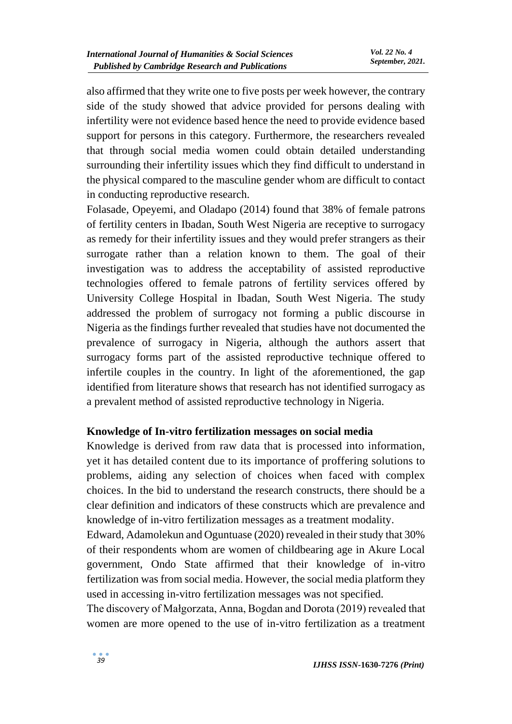also affirmed that they write one to five posts per week however, the contrary side of the study showed that advice provided for persons dealing with infertility were not evidence based hence the need to provide evidence based support for persons in this category. Furthermore, the researchers revealed that through social media women could obtain detailed understanding surrounding their infertility issues which they find difficult to understand in the physical compared to the masculine gender whom are difficult to contact in conducting reproductive research.

Folasade, Opeyemi, and Oladapo (2014) found that 38% of female patrons of fertility centers in Ibadan, South West Nigeria are receptive to surrogacy as remedy for their infertility issues and they would prefer strangers as their surrogate rather than a relation known to them. The goal of their investigation was to address the acceptability of assisted reproductive technologies offered to female patrons of fertility services offered by University College Hospital in Ibadan, South West Nigeria. The study addressed the problem of surrogacy not forming a public discourse in Nigeria as the findings further revealed that studies have not documented the prevalence of surrogacy in Nigeria, although the authors assert that surrogacy forms part of the assisted reproductive technique offered to infertile couples in the country. In light of the aforementioned, the gap identified from literature shows that research has not identified surrogacy as a prevalent method of assisted reproductive technology in Nigeria.

## **Knowledge of In-vitro fertilization messages on social media**

Knowledge is derived from raw data that is processed into information, yet it has detailed content due to its importance of proffering solutions to problems, aiding any selection of choices when faced with complex choices. In the bid to understand the research constructs, there should be a clear definition and indicators of these constructs which are prevalence and knowledge of in-vitro fertilization messages as a treatment modality.

Edward, Adamolekun and Oguntuase (2020) revealed in their study that 30% of their respondents whom are women of childbearing age in Akure Local government, Ondo State affirmed that their knowledge of in-vitro fertilization was from social media. However, the social media platform they used in accessing in-vitro fertilization messages was not specified.

The discovery of Małgorzata, Anna, Bogdan and Dorota (2019) revealed that women are more opened to the use of in-vitro fertilization as a treatment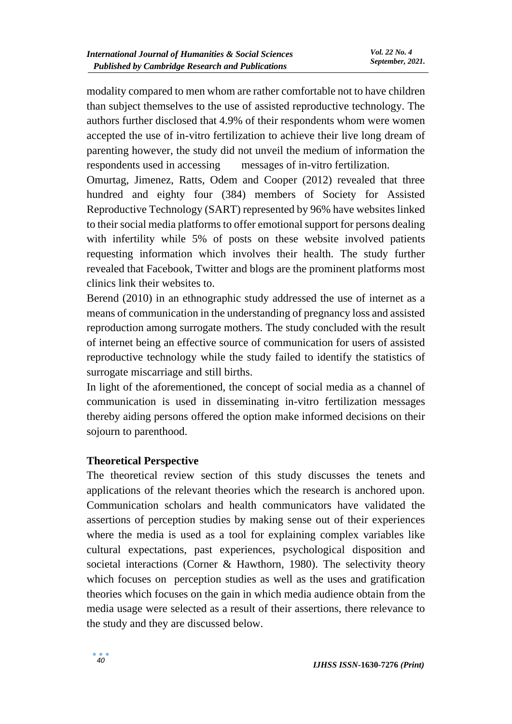modality compared to men whom are rather comfortable not to have children than subject themselves to the use of assisted reproductive technology. The authors further disclosed that 4.9% of their respondents whom were women accepted the use of in-vitro fertilization to achieve their live long dream of parenting however, the study did not unveil the medium of information the respondents used in accessing messages of in-vitro fertilization.

Omurtag, Jimenez, Ratts, Odem and Cooper (2012) revealed that three hundred and eighty four (384) members of Society for Assisted Reproductive Technology (SART) represented by 96% have websites linked to their social media platforms to offer emotional support for persons dealing with infertility while 5% of posts on these website involved patients requesting information which involves their health. The study further revealed that Facebook, Twitter and blogs are the prominent platforms most clinics link their websites to.

Berend (2010) in an ethnographic study addressed the use of internet as a means of communication in the understanding of pregnancy loss and assisted reproduction among surrogate mothers. The study concluded with the result of internet being an effective source of communication for users of assisted reproductive technology while the study failed to identify the statistics of surrogate miscarriage and still births.

In light of the aforementioned, the concept of social media as a channel of communication is used in disseminating in-vitro fertilization messages thereby aiding persons offered the option make informed decisions on their sojourn to parenthood.

## **Theoretical Perspective**

The theoretical review section of this study discusses the tenets and applications of the relevant theories which the research is anchored upon. Communication scholars and health communicators have validated the assertions of perception studies by making sense out of their experiences where the media is used as a tool for explaining complex variables like cultural expectations, past experiences, psychological disposition and societal interactions (Corner & Hawthorn, 1980). The selectivity theory which focuses on perception studies as well as the uses and gratification theories which focuses on the gain in which media audience obtain from the media usage were selected as a result of their assertions, there relevance to the study and they are discussed below.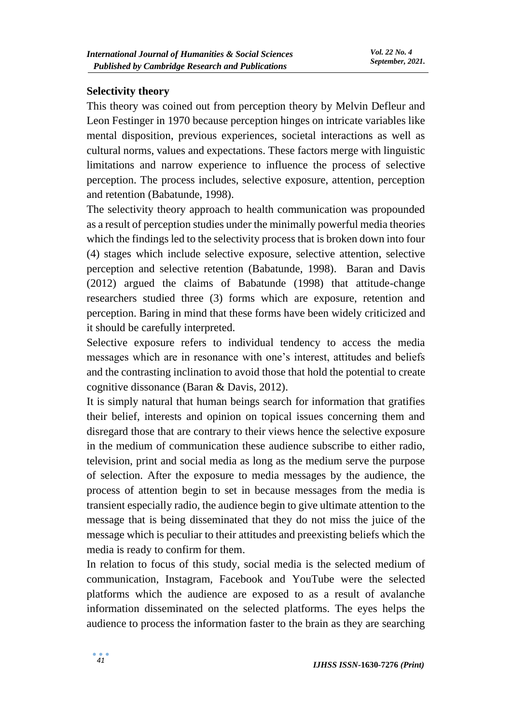#### **Selectivity theory**

This theory was coined out from perception theory by Melvin Defleur and Leon Festinger in 1970 because perception hinges on intricate variables like mental disposition, previous experiences, societal interactions as well as cultural norms, values and expectations. These factors merge with linguistic limitations and narrow experience to influence the process of selective perception. The process includes, selective exposure, attention, perception and retention (Babatunde, 1998).

The selectivity theory approach to health communication was propounded as a result of perception studies under the minimally powerful media theories which the findings led to the selectivity process that is broken down into four (4) stages which include selective exposure, selective attention, selective perception and selective retention (Babatunde, 1998). Baran and Davis (2012) argued the claims of Babatunde (1998) that attitude-change researchers studied three (3) forms which are exposure, retention and perception. Baring in mind that these forms have been widely criticized and it should be carefully interpreted.

Selective exposure refers to individual tendency to access the media messages which are in resonance with one's interest, attitudes and beliefs and the contrasting inclination to avoid those that hold the potential to create cognitive dissonance (Baran & Davis, 2012).

It is simply natural that human beings search for information that gratifies their belief, interests and opinion on topical issues concerning them and disregard those that are contrary to their views hence the selective exposure in the medium of communication these audience subscribe to either radio, television, print and social media as long as the medium serve the purpose of selection. After the exposure to media messages by the audience, the process of attention begin to set in because messages from the media is transient especially radio, the audience begin to give ultimate attention to the message that is being disseminated that they do not miss the juice of the message which is peculiar to their attitudes and preexisting beliefs which the media is ready to confirm for them.

In relation to focus of this study, social media is the selected medium of communication, Instagram, Facebook and YouTube were the selected platforms which the audience are exposed to as a result of avalanche information disseminated on the selected platforms. The eyes helps the audience to process the information faster to the brain as they are searching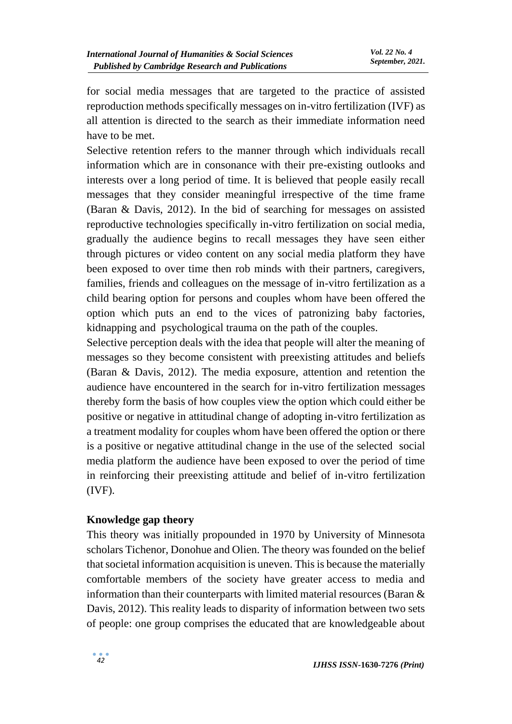for social media messages that are targeted to the practice of assisted reproduction methods specifically messages on in-vitro fertilization (IVF) as all attention is directed to the search as their immediate information need have to be met.

Selective retention refers to the manner through which individuals recall information which are in consonance with their pre-existing outlooks and interests over a long period of time. It is believed that people easily recall messages that they consider meaningful irrespective of the time frame (Baran & Davis, 2012). In the bid of searching for messages on assisted reproductive technologies specifically in-vitro fertilization on social media, gradually the audience begins to recall messages they have seen either through pictures or video content on any social media platform they have been exposed to over time then rob minds with their partners, caregivers, families, friends and colleagues on the message of in-vitro fertilization as a child bearing option for persons and couples whom have been offered the option which puts an end to the vices of patronizing baby factories, kidnapping and psychological trauma on the path of the couples.

Selective perception deals with the idea that people will alter the meaning of messages so they become consistent with preexisting attitudes and beliefs (Baran & Davis, 2012). The media exposure, attention and retention the audience have encountered in the search for in-vitro fertilization messages thereby form the basis of how couples view the option which could either be positive or negative in attitudinal change of adopting in-vitro fertilization as a treatment modality for couples whom have been offered the option or there is a positive or negative attitudinal change in the use of the selected social media platform the audience have been exposed to over the period of time in reinforcing their preexisting attitude and belief of in-vitro fertilization (IVF).

## **Knowledge gap theory**

This theory was initially propounded in 1970 by University of Minnesota scholars Tichenor, Donohue and Olien. The theory was founded on the belief that societal information acquisition is uneven. This is because the materially comfortable members of the society have greater access to media and information than their counterparts with limited material resources (Baran & Davis, 2012). This reality leads to disparity of information between two sets of people: one group comprises the educated that are knowledgeable about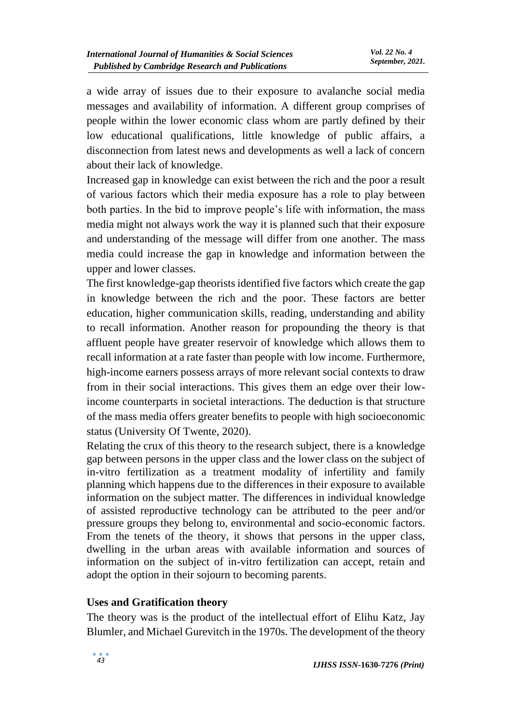a wide array of issues due to their exposure to avalanche social media messages and availability of information. A different group comprises of people within the lower economic class whom are partly defined by their low educational qualifications, little knowledge of public affairs, a disconnection from latest news and developments as well a lack of concern about their lack of knowledge.

Increased gap in knowledge can exist between the rich and the poor a result of various factors which their media exposure has a role to play between both parties. In the bid to improve people's life with information, the mass media might not always work the way it is planned such that their exposure and understanding of the message will differ from one another. The mass media could increase the gap in knowledge and information between the upper and lower classes.

The first knowledge-gap theorists identified five factors which create the gap in knowledge between the rich and the poor. These factors are better education, higher communication skills, reading, understanding and ability to recall information. Another reason for propounding the theory is that affluent people have greater reservoir of knowledge which allows them to recall information at a rate faster than people with low income. Furthermore, high-income earners possess arrays of more relevant social contexts to draw from in their social interactions. This gives them an edge over their lowincome counterparts in societal interactions. The deduction is that structure of the mass media offers greater benefits to people with high socioeconomic status (University Of Twente, 2020).

Relating the crux of this theory to the research subject, there is a knowledge gap between persons in the upper class and the lower class on the subject of in-vitro fertilization as a treatment modality of infertility and family planning which happens due to the differences in their exposure to available information on the subject matter. The differences in individual knowledge of assisted reproductive technology can be attributed to the peer and/or pressure groups they belong to, environmental and socio-economic factors. From the tenets of the theory, it shows that persons in the upper class, dwelling in the urban areas with available information and sources of information on the subject of in-vitro fertilization can accept, retain and adopt the option in their sojourn to becoming parents.

## **Uses and Gratification theory**

The theory was is the product of the intellectual effort of Elihu Katz, Jay Blumler, and Michael Gurevitch in the 1970s. The development of the theory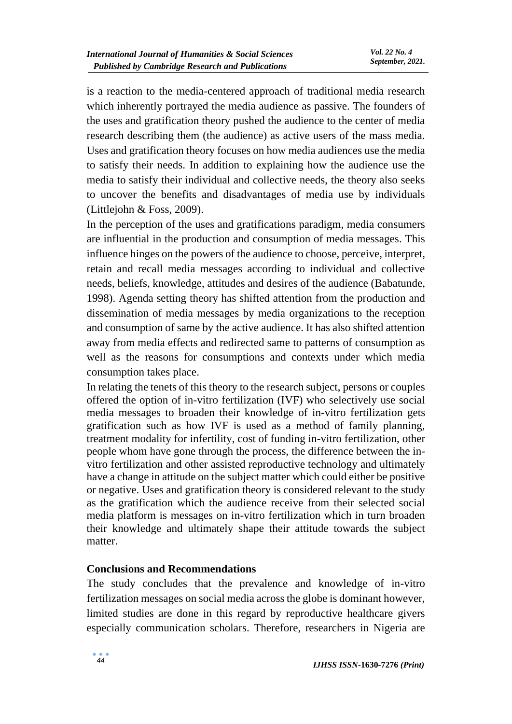is a reaction to the media-centered approach of traditional media research which inherently portrayed the media audience as passive. The founders of the uses and gratification theory pushed the audience to the center of media research describing them (the audience) as active users of the mass media. Uses and gratification theory focuses on how media audiences use the media to satisfy their needs. In addition to explaining how the audience use the media to satisfy their individual and collective needs, the theory also seeks to uncover the benefits and disadvantages of media use by individuals (Littlejohn & Foss, 2009).

In the perception of the uses and gratifications paradigm, media consumers are influential in the production and consumption of media messages. This influence hinges on the powers of the audience to choose, perceive, interpret, retain and recall media messages according to individual and collective needs, beliefs, knowledge, attitudes and desires of the audience (Babatunde, 1998). Agenda setting theory has shifted attention from the production and dissemination of media messages by media organizations to the reception and consumption of same by the active audience. It has also shifted attention away from media effects and redirected same to patterns of consumption as well as the reasons for consumptions and contexts under which media consumption takes place.

In relating the tenets of this theory to the research subject, persons or couples offered the option of in-vitro fertilization (IVF) who selectively use social media messages to broaden their knowledge of in-vitro fertilization gets gratification such as how IVF is used as a method of family planning, treatment modality for infertility, cost of funding in-vitro fertilization, other people whom have gone through the process, the difference between the invitro fertilization and other assisted reproductive technology and ultimately have a change in attitude on the subject matter which could either be positive or negative. Uses and gratification theory is considered relevant to the study as the gratification which the audience receive from their selected social media platform is messages on in-vitro fertilization which in turn broaden their knowledge and ultimately shape their attitude towards the subject matter.

#### **Conclusions and Recommendations**

The study concludes that the prevalence and knowledge of in-vitro fertilization messages on social media across the globe is dominant however, limited studies are done in this regard by reproductive healthcare givers especially communication scholars. Therefore, researchers in Nigeria are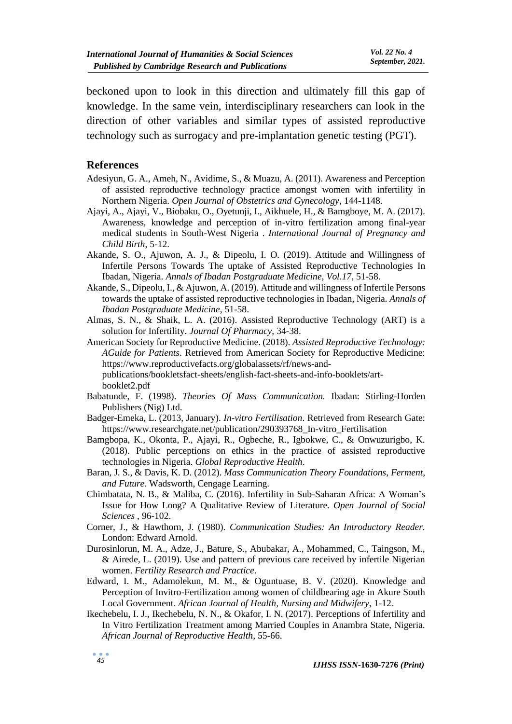beckoned upon to look in this direction and ultimately fill this gap of knowledge. In the same vein, interdisciplinary researchers can look in the direction of other variables and similar types of assisted reproductive technology such as surrogacy and pre-implantation genetic testing (PGT).

#### **References**

- Adesiyun, G. A., Ameh, N., Avidime, S., & Muazu, A. (2011). Awareness and Perception of assisted reproductive technology practice amongst women with infertility in Northern Nigeria. *Open Journal of Obstetrics and Gynecology*, 144-1148.
- Ajayi, A., Ajayi, V., Biobaku, O., Oyetunji, I., Aikhuele, H., & Bamgboye, M. A. (2017). Awareness, knowledge and perception of in-vitro fertilization among final-year medical students in South-West Nigeria . *International Journal of Pregnancy and Child Birth*, 5-12.
- Akande, S. O., Ajuwon, A. J., & Dipeolu, I. O. (2019). Attitude and Willingness of Infertile Persons Towards The uptake of Assisted Reproductive Technologies In Ibadan, Nigeria. *Annals of Ibadan Postgraduate Medicine, Vol.17*, 51-58.
- Akande, S., Dipeolu, I., & Ajuwon, A. (2019). Attitude and willingness of Infertile Persons towards the uptake of assisted reproductive technologies in Ibadan, Nigeria. *Annals of Ibadan Postgraduate Medicine*, 51-58.
- Almas, S. N., & Shaik, L. A. (2016). Assisted Reproductive Technology (ART) is a solution for Infertility. *Journal Of Pharmacy*, 34-38.
- American Society for Reproductive Medicine. (2018). *Assisted Reproductive Technology: AGuide for Patients*. Retrieved from American Society for Reproductive Medicine: https://www.reproductivefacts.org/globalassets/rf/news-andpublications/bookletsfact-sheets/english-fact-sheets-and-info-booklets/art-

booklet2.pdf

- Babatunde, F. (1998). *Theories Of Mass Communication.* Ibadan: Stirling-Horden Publishers (Nig) Ltd.
- Badger-Emeka, L. (2013, January). *In-vitro Fertilisation*. Retrieved from Research Gate: https://www.researchgate.net/publication/290393768\_In-vitro\_Fertilisation
- Bamgbopa, K., Okonta, P., Ajayi, R., Ogbeche, R., Igbokwe, C., & Onwuzurigbo, K. (2018). Public perceptions on ethics in the practice of assisted reproductive technologies in Nigeria. *Global Reproductive Health*.
- Baran, J. S., & Davis, K. D. (2012). *Mass Communication Theory Foundations, Ferment, and Future.* Wadsworth, Cengage Learning.
- Chimbatata, N. B., & Maliba, C. (2016). Infertility in Sub-Saharan Africa: A Woman's Issue for How Long? A Qualitative Review of Literature. *Open Journal of Social Sciences* , 96-102.
- Corner, J., & Hawthorn, J. (1980). *Communication Studies: An Introductory Reader.* London: Edward Arnold.
- Durosinlorun, M. A., Adze, J., Bature, S., Abubakar, A., Mohammed, C., Taingson, M., & Airede, L. (2019). Use and pattern of previous care received by infertile Nigerian women. *Fertility Research and Practice*.
- Edward, I. M., Adamolekun, M. M., & Oguntuase, B. V. (2020). Knowledge and Perception of Invitro-Fertilization among women of childbearing age in Akure South Local Government. *African Journal of Health, Nursing and Midwifery*, 1-12.
- Ikechebelu, I. J., Ikechebelu, N. N., & Okafor, I. N. (2017). Perceptions of Infertility and In Vitro Fertilization Treatment among Married Couples in Anambra State, Nigeria. *African Journal of Reproductive Health*, 55-66.